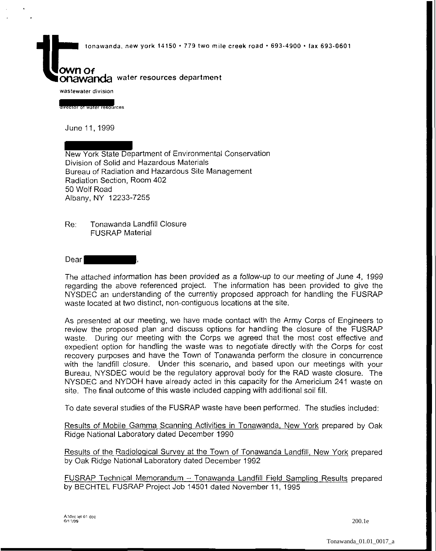tonawanda, new york 14150 • 779 two mile creek road • 693-4900 • fax 693-0601

## OWN Of **Onawanda** water resources department

**wastewater division** 

**director of water resources** 

June 11, 1999

New York State Department of Environmental Conservation Division of Solid and Hazardous Materials Bureau of Radiation and Hazardous Site Management Radiation Section, Room 402 50 Wolf Road Albany, NY 12233-7255

Re: Tonawanda Landfill Closure FUSRAP Material

Dear I

The attached information has been provided as a follow-up to our meeting of June 4, 1999 regarding the above referenced project. The information has been provided to give the NYSDEC an understanding of the currently proposed approach for handling the FUSRAP waste located at two distinct, non-contiguous locations at the site.

As presented at our meeting, we have made contact with the Army Corps of Engineers to review the proposed plan and discuss options for handling the closure of the FUSRAP waste. During our meeting with the Corps we agreed that the most cost effective and expedient option for handling the waste was to negotiate directly with the Corps for cost recovery purposes and have the Town of Tonawanda perform the closure in concurrence with the landfill closure. Under this scenario, and based upon our meetings with your Bureau, NYSDEC would be the regulatory approval body for the RAD waste closure. The NYSDEC and NYDOH have already acted in this capacity for the Americium 241 waste on site. The final outcome of this waste included capping with additional soil fill.

To date several studies of the FUSRAP waste have been performed. The studies included:

Results of Mobile Gamma Scanning Activities in Tonawanda, New York prepared by Oak Ridge National Laboratory dated December 1990

Results of the Radiological Survey at the Town of Tonawanda Landfill, New York prepared by Oak Ridge National Laboratory dated December 1992

FUSRAP Technical Memorandum - Tonawanda Landfill Field Sampling Results prepared by BECHTEL FUSRAP Project Job 14501 dated November 11, 1995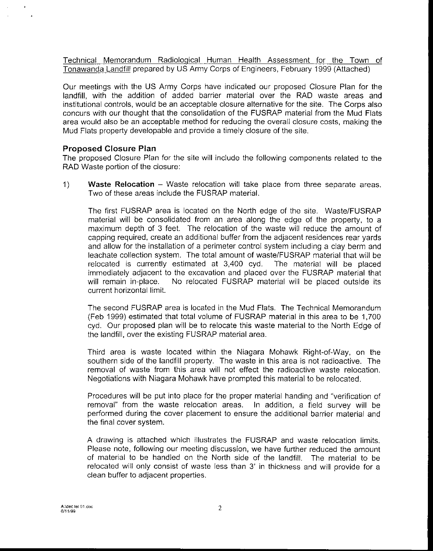Technical Memorandum Radiological Human Health Assessment for the Town of Tonawanda Landfill prepared by US Army Corps of Engineers, February 1999 (Attached)

Our meetings with the US Army Corps have indicated our proposed Closure Plan for the landfill, with the addition of added barrier material over the RAD waste areas and institutional controls, would be an acceptable closure alternative for the site. The Corps also concurs with our thought that the consolidation of the FUSRAP material from the Mud Flats area would also be an acceptable method for reducing the overall closure costs, making the Mud Flats property developable and provide a timely closure of the site.

## Proposed Closure Plan

The proposed Closure Plan for the site will include the following components related to the RAD Waste portion of the closure:

1) Waste Relocation – Waste relocation will take place from three separate areas. Two of these areas include the FUSRAP material.

The first FUSRAP area is located on the North edge of the site. Waste/FUSRAP material will be consolidated from an area along the edge of the property, to a maximum depth of 3 feet. The relocation of the waste will reduce the amount of capping required, create an additional buffer from the adjacent residences rear yards and allow for the installation of a perimeter control system including a clay berm and leachate collection system. The total amount of waste/FUSRAP material that will be relocated is currently estimated at 3,400 cyd. The material will be placed immediately adjacent to the excavation and placed over the FUSRAP material that will remain in-place. No relocated FUSRAP material will be placed outside its current horizontal limit.

The second FUSRAP area is located in the Mud Flats. The Technical Memorandum (Feb 1999) estimated that total volume of FUSRAP material in this area to be 1,700 cyd. Our proposed plan will be to relocate this waste material to the North Edge of the landfill, over the existing FUSRAP material area.

Third area is waste located within the Niagara Mohawk Right-of-Way, on the southern side of the landfill property. The waste in this area is not radioactive. The removal of waste from this area will not effect the radioactive waste relocation. Negotiations with Niagara Mohawk have prompted this material to be relocated.

Procedures will be put into place for the proper material handing and "verification of removal" from the waste relocation areas. In addition, a field survey will be performed during the cover placement to ensure the additional barrier material and the final cover system.

A drawing is attached which illustrates the FUSRAP and waste relocation limits. Please note, following our meeting discussion, we have further reduced the amount of material to be handled on the North side of the landfill. The material to be relocated will only consist of waste less than 3' in thickness and will provide for a clean buffer to adjacent properties.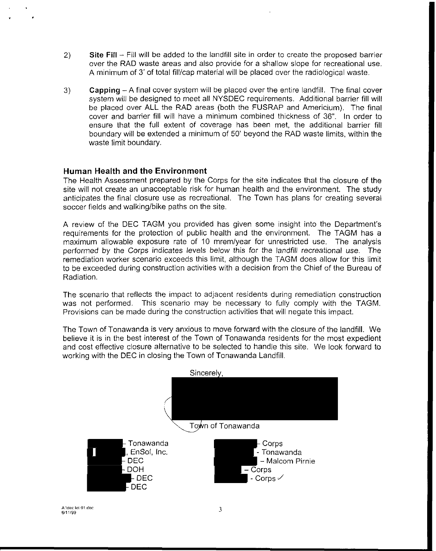- 2) Site Fill Fill will be added to the landfill site in order to create the proposed barrier over the RAD waste areas and also provide for a shallow slope for recreational use. A minimum of 3' of total fill/cap material will be placed over the radiological waste.
- 3) **Capping-** A final cover system will be placed over the entire landfill. The final cover system will be designed to meet all NYSDEC requirements. Additional barrier fill will be placed over ALL the RAD areas (both the FUSRAP and Americium). The final cover and barrier fill will have a minimum combined thickness of 36". In order to ensure that the full extent of coverage has been met, the additional barrier fill boundary will be extended a minimum of 50' beyond the RAD waste limits, within the waste limit boundary.

## **Human Health and the Environment**

The Health Assessment prepared by the Corps for the site indicates that the closure of the site will not create an unacceptable risk for human health and the environment. The study anticipates the final closure use as recreational. The Town has plans for creating several soccer fields and walking/bike paths on the site.

A review of the DEC TAGM you provided has given some insight into the Department's requirements for the protection of public health and the environment. The TAGM has a maximum allowable exposure rate of 10 mrem/year for unrestricted use. The analysis performed by the Corps indicates levels below this for the landfill recreational use. The remediation worker scenario exceeds this limit, although the TAGM does allow for this limit to be exceeded during construction activities with a decision from the Chief of the Bureau of Radiation.

The scenario that reflects the impact to adjacent residents during remediation construction was not performed. This scenario may be necessary to fully comply with the TAGM. Provisions can be made during the construction activities that will negate this impact.

The Town of Tonawanda is very anxious to move forward with the closure of the landfill. We believe it is in the best interest of the Town of Tonawanda residents for the most expedient and cost effective closure alternative to be selected to handle this site. We look forward to working with the DEC in closing the Town of Tonawanda Landfill.